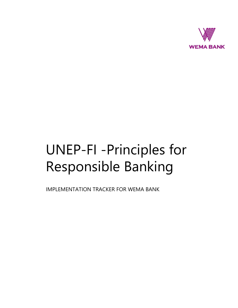

## UNEP-FI -Principles for Responsible Banking

IMPLEMENTATION TRACKER FOR WEMA BANK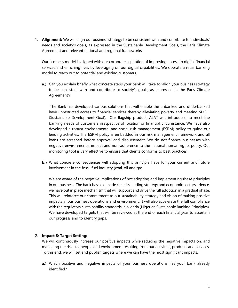1. **Alignment:** We will align our business strategy to be consistent with and contribute to individuals' needs and society's goals, as expressed in the Sustainable Development Goals, the Paris Climate Agreement and relevant national and regional frameworks.

Our business model is aligned with our corporate aspiration of improving access to digital financial services and enriching lives by leveraging on our digital capabilities. We operate a retail banking model to reach out to potential and existing customers.

**a.)** Can you explain briefly what concrete steps your bank will take to 'align your business strategy to be consistent with and contribute to society's goals, as expressed in the Paris Climate Agreement'?

The Bank has developed various solutions that will enable the unbanked and underbanked have unrestricted access to financial services thereby alleviating poverty and meeting SDG 1 (Sustainable Development Goal). Our flagship product, ALAT was introduced to meet the banking needs of customers irrespective of location or financial circumstance. We have also developed a robust environmental and social risk management (ESRM) policy to guide our lending activities. The ESRM policy is embedded in our risk management framework and all loans are screened before approval and disbursement. We do not finance businesses with negative environmental impact and non-adherence to the national human rights policy. Our monitoring tool is very effective to ensure that clients conforms to best practices.

**b.)** What concrete consequences will adopting this principle have for your current and future involvement in the fossil fuel industry (coal, oil and gas

We are aware of the negative implications of not adopting and implementing these principles in our business. The bank has also made clear its lending strategy and economic sectors. Hence, we have put in place mechanism that will support and drive the full adoption in a gradual phase. This will reinforce our commitment to our sustainability strategy and vision of making positive impacts in our business operations and environment. It will also accelerate the full compliance with the regulatory sustainability standards in Nigeria (Nigerian Sustainable Banking Principles). We have developed targets that will be reviewed at the end of each financial year to ascertain our progress and to identify gaps.

## 2. **Impact & Target Setting:**

We will continuously increase our positive impacts while reducing the negative impacts on, and managing the risks to, people and environment resulting from our activities, products and services. To this end, we will set and publish targets where we can have the most significant impacts.

**a.)** Which positive and negative impacts of your business operations has your bank already identified?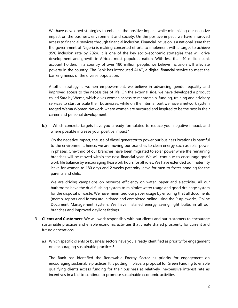We have developed strategies to enhance the positive impact, while minimizing our negative impact on the business, environment and society. On the positive impact, we have improved access to financial services through financial inclusion. Financial inclusion is a national issue that the government of Nigeria is making concerted efforts to implement with a target to achieve 95% inclusion rate by 2024. It is one of the key socio-economic strategies that will drive development and growth in Africa's most populous nation. With less than 40 million bank account holders in a country of over 180 million people, we believe inclusion will alleviate poverty in the country. The Bank has introduced ALAT, a digital financial service to meet the banking needs of the diverse population.

Another strategy is women empowerment, we believe in advancing gender equality and improved access to the necessities of life. On the external side, we have developed a product called Sara by Wema, which gives women access to mentorship, funding, training and advisory services to start or scale their businesses; while on the internal part we have a network system tagged Wema Women Network, where women are nurtured and inspired to be the best in their career and personal development.

**b.)** Which concrete targets have you already formulated to reduce your negative impact, and where possible increase your positive impact?

On the negative impact, the use of diesel generator to power our business locations is harmful to the environment, hence, we are moving our branches to clean energy such as solar power in phases. One-third of our branches have been migrated to solar power while the remaining branches will be moved within the next financial year. We will continue to encourage good work life balance by encouraging flexi work hours for all roles. We have extended our maternity leave for women to 180 days and 2 weeks paternity leave for men to foster bonding for the parents and child.

We are driving campaigns on resource efficiency on water, paper and electricity. All our bathrooms have the dual flushing system to minimize water usage and good drainage system for the disposal of waste. We have minimized our paper usage by ensuring that all documents (memo, reports and forms) are initiated and completed online using the Purpleworks, Online Document Management System. We have installed energy saving light bulbs in all our branches and improved daylight fittings.

- 3. **Clients and Customers**: We will work responsibly with our clients and our customers to encourage sustainable practices and enable economic activities that create shared prosperity for current and future generations.
	- a.) Which specific clients or business sectors have you already identified as priority for engagement on encouraging sustainable practices?

The Bank has identified the Renewable Energy Sector as priority for engagement on encouraging sustainable practices. It is putting in place, a proposal for Green Funding to enable qualifying clients access funding for their business at relatively inexpensive interest rate as incentives in a bid to continue to promote sustainable economic activities.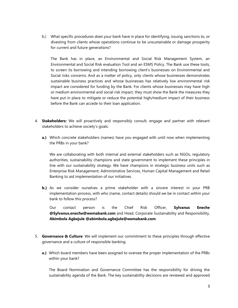b.) What specific procedures does your bank have in place for identifying, issuing sanctions to, or divesting from clients whose operations continue to be unsustainable or damage prosperity for current and future generations?

The Bank has in place, an Environmental and Social Risk Management System, an Environmental and Social Risk evaluation Tool and an ESMS Policy. The Bank use these tools, to screen its borrowing and intending borrowing client's businesses on Environmental and Social risks concerns. And as a matter of policy, only clients whose businesses demonstrates sustainable business practices and whose businesses has relatively low environmental risk impact are considered for funding by the Bank. For clients whose businesses may have high or medium environmental and social risk impact, they must show the Bank the measures they have put in place to mitigate or reduce the potential high/medium impact of their business before the Bank can accede to their loan application.

- 4. **Stakeholders:** We will proactively and responsibly consult, engage and partner with relevant stakeholders to achieve society's goals.
	- **a.)** Which concrete stakeholders (names) have you engaged with until now when implementing the PRBs in your bank?

We are collaborating with both internal and external stakeholders such as NGOs, regulatory authorities, sustainability champions and state government to implement these principles in line with our sustainability strategy. We have champions in strategic business units such as Enterprise Risk Management, Administrative Services, Human Capital Management and Retail Banking to aid implementation of our initiatives.

**b.)** As we consider ourselves a prime stakeholder with a sincere interest in your PRB implementation process, with who (name, contact details) should we be in contact within your bank to follow this process?

Our contact person is the Chief Risk Officer, **Sylvanus Eneche @Sylvanus.eneche@wemabank.com** and Head, Corporate Sustainability and Responsibility, **Abimbola Agbejule @abimbola.agbejule@wemabank.com**.

- 5. **Governance & Culture**: We will implement our commitment to these principles through effective governance and a culture of responsible banking.
	- **a.)** Which board members have been assigned to oversee the proper implementation of the PRBs within your bank?

The Board Nomination and Governance Committee has the responsibility for driving the sustainability agenda of the Bank. The key sustainability decisions are reviewed and approved